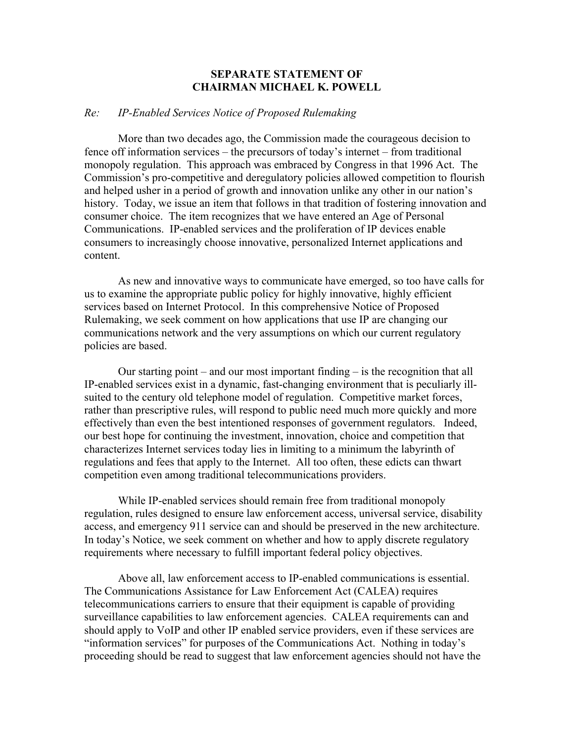## **SEPARATE STATEMENT OF CHAIRMAN MICHAEL K. POWELL**

## *Re: IP-Enabled Services Notice of Proposed Rulemaking*

 More than two decades ago, the Commission made the courageous decision to fence off information services – the precursors of today's internet – from traditional monopoly regulation. This approach was embraced by Congress in that 1996 Act. The Commission's pro-competitive and deregulatory policies allowed competition to flourish and helped usher in a period of growth and innovation unlike any other in our nation's history. Today, we issue an item that follows in that tradition of fostering innovation and consumer choice. The item recognizes that we have entered an Age of Personal Communications. IP-enabled services and the proliferation of IP devices enable consumers to increasingly choose innovative, personalized Internet applications and content.

 As new and innovative ways to communicate have emerged, so too have calls for us to examine the appropriate public policy for highly innovative, highly efficient services based on Internet Protocol. In this comprehensive Notice of Proposed Rulemaking, we seek comment on how applications that use IP are changing our communications network and the very assumptions on which our current regulatory policies are based.

 Our starting point – and our most important finding – is the recognition that all IP-enabled services exist in a dynamic, fast-changing environment that is peculiarly illsuited to the century old telephone model of regulation. Competitive market forces, rather than prescriptive rules, will respond to public need much more quickly and more effectively than even the best intentioned responses of government regulators. Indeed, our best hope for continuing the investment, innovation, choice and competition that characterizes Internet services today lies in limiting to a minimum the labyrinth of regulations and fees that apply to the Internet. All too often, these edicts can thwart competition even among traditional telecommunications providers.

 While IP-enabled services should remain free from traditional monopoly regulation, rules designed to ensure law enforcement access, universal service, disability access, and emergency 911 service can and should be preserved in the new architecture. In today's Notice, we seek comment on whether and how to apply discrete regulatory requirements where necessary to fulfill important federal policy objectives.

 Above all, law enforcement access to IP-enabled communications is essential. The Communications Assistance for Law Enforcement Act (CALEA) requires telecommunications carriers to ensure that their equipment is capable of providing surveillance capabilities to law enforcement agencies. CALEA requirements can and should apply to VoIP and other IP enabled service providers, even if these services are "information services" for purposes of the Communications Act. Nothing in today's proceeding should be read to suggest that law enforcement agencies should not have the